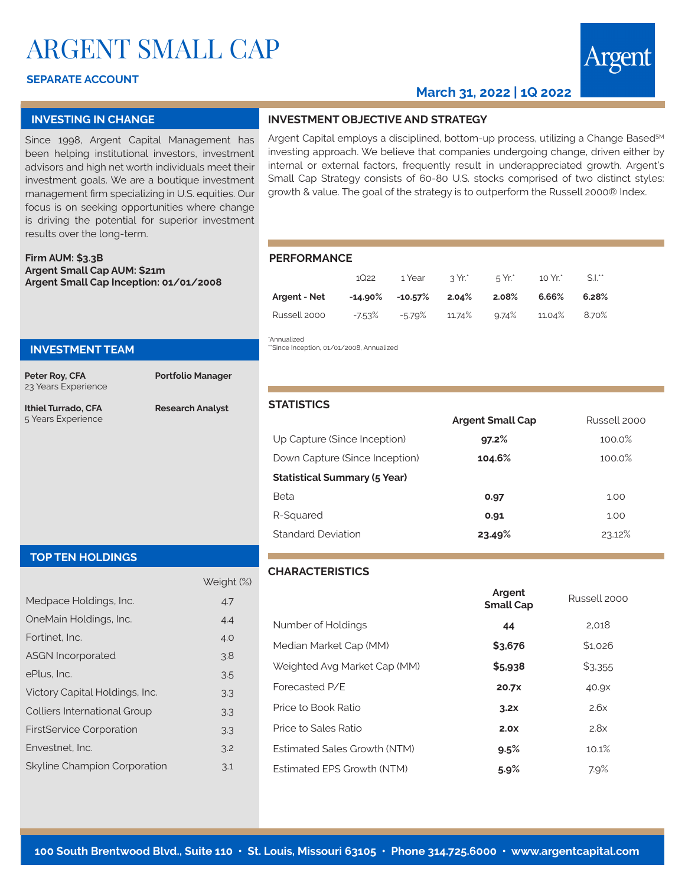# ARGENT SMALL CAP

## **SEPARATE ACCOUNT**

# **March 31, 2022 | 1Q 2022**

#### **INVESTING IN CHANGE**

Since 1998, Argent Capital Management has been helping institutional investors, investment advisors and high net worth individuals meet their investment goals. We are a boutique investment management firm specializing in U.S. equities. Our focus is on seeking opportunities where change is driving the potential for superior investment results over the long-term.

**Firm AUM: \$3.3B Argent Small Cap AUM: \$21m Argent Small Cap Inception: 01/01/2008**

## **INVESTMENT TEAM**

**Peter Roy, CFA** 23 Years Experience **Portfolio Manager**

**Ithiel Turrado, CFA** 5 Years Experience

**Research Analyst**

| INVESTMENT OBJECTIVE AND STRATEGY |
|-----------------------------------|
|-----------------------------------|

Argent Capital employs a disciplined, bottom-up process, utilizing a Change Based<sup>SM</sup> investing approach. We believe that companies undergoing change, driven either by internal or external factors, frequently result in underappreciated growth. Argent's Small Cap Strategy consists of 60-80 U.S. stocks comprised of two distinct styles: growth & value. The goal of the strategy is to outperform the Russell 2000® Index.

#### **PERFORMANCE**

|              | 1Q22      |                                         | 1 Year 2 Yr.*       | 5 Yr.* | $10 Yr^*$    | S.I.** |
|--------------|-----------|-----------------------------------------|---------------------|--------|--------------|--------|
| Argent - Net |           | $-14.90\%$ $-10.57\%$ 2.04% 2.08% 6.66% |                     |        |              | 6.28%  |
| Russell 2000 | $-7.53\%$ |                                         | -5.79% 11.74% 9.74% |        | 11.04% 8.70% |        |

\*Annualized 'Since Inception, 01/01/2008, Annualized

**STATISTICS**

|                                     | <b>Argent Small Cap</b> | Russell 2000 |
|-------------------------------------|-------------------------|--------------|
| Up Capture (Since Inception)        | 97.2%                   | 100.0%       |
| Down Capture (Since Inception)      | 104.6%                  | 100.0%       |
| <b>Statistical Summary (5 Year)</b> |                         |              |
| Beta                                | 0.97                    | 1.00         |
| R-Squared                           | 0.91                    | 1.00         |
| Standard Deviation                  | 23.49%                  | 23.12%       |

#### **TOP TEN HOLDINGS**

|                                     | Weight (%) |
|-------------------------------------|------------|
| Medpace Holdings, Inc.              | 4.7        |
| OneMain Holdings, Inc.              | 4.4        |
| Fortinet. Inc.                      | 4.0        |
| <b>ASGN Incorporated</b>            | 3.8        |
| ePlus. Inc.                         | 3.5        |
| Victory Capital Holdings, Inc.      | 3.3        |
| <b>Colliers International Group</b> | 3.3        |
| <b>FirstService Corporation</b>     | 3.3        |
| Envestnet, Inc.                     | 3.2        |
| Skyline Champion Corporation        | 3.1        |

# **CHARACTERISTICS**

|                                     | Argent<br><b>Small Cap</b> | Russell 2000 |
|-------------------------------------|----------------------------|--------------|
| Number of Holdings                  | 44                         | 2.018        |
| Median Market Cap (MM)              | \$3,676                    | \$1.026      |
| Weighted Avg Market Cap (MM)        | \$5.938                    | \$3,355      |
| Forecasted P/F                      | 20.7X                      | 40.9X        |
| Price to Book Ratio                 | 3.2x                       | 2.6x         |
| Price to Sales Ratio                | 2.0x                       | 2.8x         |
| <b>Estimated Sales Growth (NTM)</b> | 9.5%                       | 10.1%        |
| <b>Estimated FPS Growth (NTM)</b>   | 5.9%                       | 7.9%         |